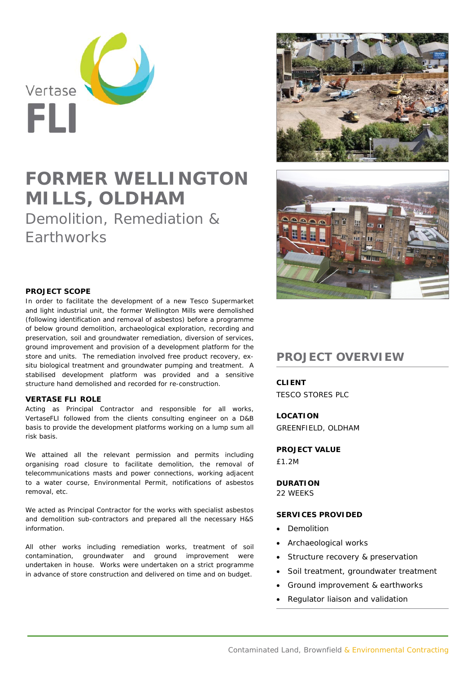

# **FORMER WELLINGTON MILLS, OLDHAM**

Demolition, Remediation & **Farthworks** 



In order to facilitate the development of a new Tesco Supermarket and light industrial unit, the former Wellington Mills were demolished (following identification and removal of asbestos) before a programme of below ground demolition, archaeological exploration, recording and preservation, soil and groundwater remediation, diversion of services, ground improvement and provision of a development platform for the store and units. The remediation involved free product recovery, exsitu biological treatment and groundwater pumping and treatment. A stabilised development platform was provided and a sensitive structure hand demolished and recorded for re-construction.

#### **VERTASE FLI ROLE**

Acting as Principal Contractor and responsible for all works, VertaseFLI followed from the clients consulting engineer on a D&B basis to provide the development platforms working on a lump sum all risk basis.

We attained all the relevant permission and permits including organising road closure to facilitate demolition, the removal of telecommunications masts and power connections, working adjacent to a water course, Environmental Permit, notifications of asbestos removal, etc.

We acted as Principal Contractor for the works with specialist asbestos and demolition sub-contractors and prepared all the necessary H&S information.

All other works including remediation works, treatment of soil contamination, groundwater and ground improvement were undertaken in house. Works were undertaken on a strict programme in advance of store construction and delivered on time and on budget.





## **PROJECT OVERVIEW**

**CLIENT** 

TESCO STORES PLC

**LOCATION**  GREENFIELD, OLDHAM

#### **PROJECT VALUE**

£1.2M

### **DURATION**

22 WEEKS

#### **SERVICES PROVIDED**

- Demolition
- Archaeological works
- Structure recovery & preservation
- Soil treatment, groundwater treatment
- Ground improvement & earthworks
- Regulator liaison and validation